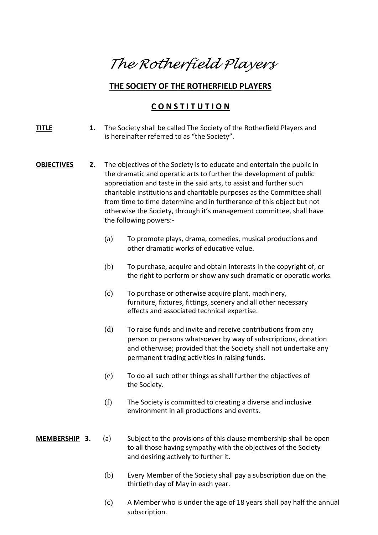# *The Rotherfield Players*

# **THE SOCIETY OF THE ROTHERFIELD PLAYERS**

# **C O N S T I T U T I O N**

- **TITLE 1.** The Society shall be called The Society of the Rotherfield Players and is hereinafter referred to as "the Society".
- **OBJECTIVES 2.** The objectives of the Society is to educate and entertain the public in the dramatic and operatic arts to further the development of public appreciation and taste in the said arts, to assist and further such charitable institutions and charitable purposes as the Committee shall from time to time determine and in furtherance of this object but not otherwise the Society, through it's management committee, shall have the following powers:-
	- (a) To promote plays, drama, comedies, musical productions and other dramatic works of educative value.
	- (b) To purchase, acquire and obtain interests in the copyright of, or the right to perform or show any such dramatic or operatic works.
	- (c) To purchase or otherwise acquire plant, machinery, furniture, fixtures, fittings, scenery and all other necessary effects and associated technical expertise.
	- (d) To raise funds and invite and receive contributions from any person or persons whatsoever by way of subscriptions, donation and otherwise; provided that the Society shall not undertake any permanent trading activities in raising funds.
	- (e) To do all such other things as shall further the objectives of the Society.
	- (f) The Society is committed to creating a diverse and inclusive environment in all productions and events.
- **MEMBERSHIP 3.** (a) Subject to the provisions of this clause membership shall be open to all those having sympathy with the objectives of the Society and desiring actively to further it.
	- (b) Every Member of the Society shall pay a subscription due on the thirtieth day of May in each year.
	- (c) A Member who is under the age of 18 years shall pay half the annual subscription.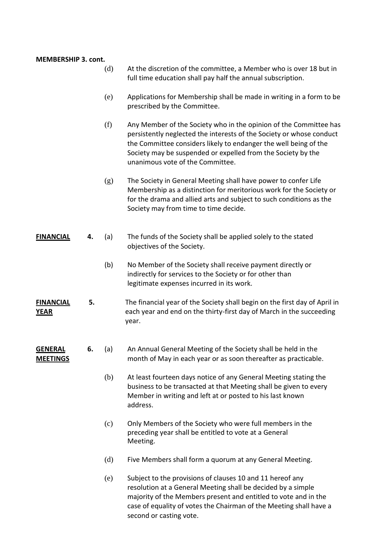| <b>MEMBERSHIP 3. cont.</b>        |    |     |                                                                                                                                                                                                                                                                                                                   |
|-----------------------------------|----|-----|-------------------------------------------------------------------------------------------------------------------------------------------------------------------------------------------------------------------------------------------------------------------------------------------------------------------|
|                                   |    | (d) | At the discretion of the committee, a Member who is over 18 but in<br>full time education shall pay half the annual subscription.                                                                                                                                                                                 |
|                                   |    | (e) | Applications for Membership shall be made in writing in a form to be<br>prescribed by the Committee.                                                                                                                                                                                                              |
|                                   |    | (f) | Any Member of the Society who in the opinion of the Committee has<br>persistently neglected the interests of the Society or whose conduct<br>the Committee considers likely to endanger the well being of the<br>Society may be suspended or expelled from the Society by the<br>unanimous vote of the Committee. |
|                                   |    | (g) | The Society in General Meeting shall have power to confer Life<br>Membership as a distinction for meritorious work for the Society or<br>for the drama and allied arts and subject to such conditions as the<br>Society may from time to time decide.                                                             |
| <b>FINANCIAL</b>                  | 4. | (a) | The funds of the Society shall be applied solely to the stated<br>objectives of the Society.                                                                                                                                                                                                                      |
|                                   |    | (b) | No Member of the Society shall receive payment directly or<br>indirectly for services to the Society or for other than<br>legitimate expenses incurred in its work.                                                                                                                                               |
| <b>FINANCIAL</b><br><b>YEAR</b>   | 5. |     | The financial year of the Society shall begin on the first day of April in<br>each year and end on the thirty-first day of March in the succeeding<br>year.                                                                                                                                                       |
| <b>GENERAL</b><br><u>MEETINGS</u> | 6. | (a) | An Annual General Meeting of the Society shall be held in the<br>month of May in each year or as soon thereafter as practicable.                                                                                                                                                                                  |
|                                   |    | (b) | At least fourteen days notice of any General Meeting stating the<br>business to be transacted at that Meeting shall be given to every<br>Member in writing and left at or posted to his last known<br>address.                                                                                                    |
|                                   |    | (c) | Only Members of the Society who were full members in the<br>preceding year shall be entitled to vote at a General<br>Meeting.                                                                                                                                                                                     |
|                                   |    | (d) | Five Members shall form a quorum at any General Meeting.                                                                                                                                                                                                                                                          |
|                                   |    | (e) | Subject to the provisions of clauses 10 and 11 hereof any<br>resolution at a General Meeting shall be decided by a simple<br>majority of the Members present and entitled to vote and in the<br>case of equality of votes the Chairman of the Meeting shall have a<br>second or casting vote.                     |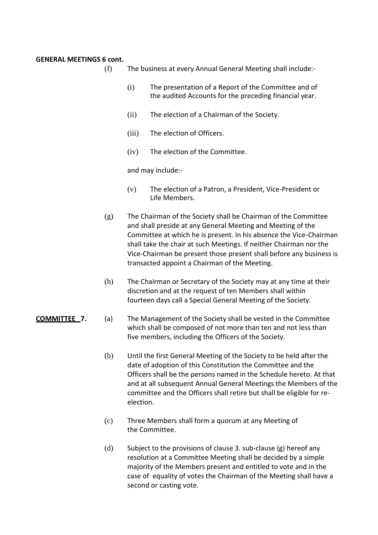### **GENERAL MEETINGS 6 cont.**

- (f) The business at every Annual General Meeting shall include:-
	- (i) The presentation of a Report of the Committee and of the audited Accounts for the preceding financial year.
	- (ii) The election of a Chairman of the Society.
	- (iii) The election of Officers.
	- (iv) The election of the Committee.

and may include:-

- (v) The election of a Patron, a President, Vice-President or Life Members.
- (g) The Chairman of the Society shall be Chairman of the Committee and shall preside at any General Meeting and Meeting of the Committee at which he is present. In his absence the Vice-Chairman shall take the chair at such Meetings. If neither Chairman nor the Vice-Chairman be present those present shall before any business is transacted appoint a Chairman of the Meeting.
- (h) The Chairman or Secretary of the Society may at any time at their discretion and at the request of ten Members shall within fourteen days call a Special General Meeting of the Society.
- **COMMITTEE 7.** (a) The Management of the Society shall be vested in the Committee which shall be composed of not more than ten and not less than five members, including the Officers of the Society.
	- (b) Until the first General Meeting of the Society to be held after the date of adoption of this Constitution the Committee and the Officers shall be the persons named in the Schedule hereto. At that and at all subsequent Annual General Meetings the Members of the committee and the Officers shall retire but shall be eligible for reelection.
	- (c) Three Members shall form a quorum at any Meeting of the Committee.
	- (d) Subject to the provisions of clause 3. sub-clause (g) hereof any resolution at a Committee Meeting shall be decided by a simple majority of the Members present and entitled to vote and in the case of equality of votes the Chairman of the Meeting shall have a second or casting vote.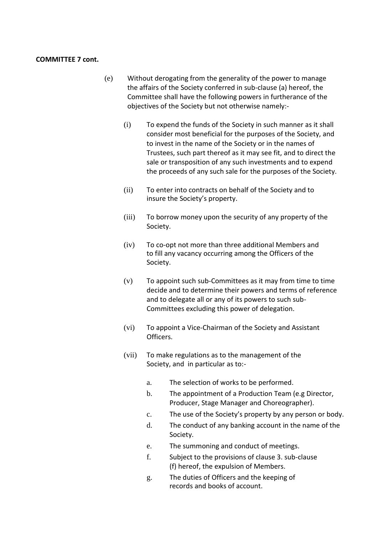### **COMMITTEE 7 cont.**

- (e) Without derogating from the generality of the power to manage the affairs of the Society conferred in sub-clause (a) hereof, the Committee shall have the following powers in furtherance of the objectives of the Society but not otherwise namely:-
	- (i) To expend the funds of the Society in such manner as it shall consider most beneficial for the purposes of the Society, and to invest in the name of the Society or in the names of Trustees, such part thereof as it may see fit, and to direct the sale or transposition of any such investments and to expend the proceeds of any such sale for the purposes of the Society.
	- (ii) To enter into contracts on behalf of the Society and to insure the Society's property.
	- (iii) To borrow money upon the security of any property of the Society.
	- (iv) To co-opt not more than three additional Members and to fill any vacancy occurring among the Officers of the Society.
	- (v) To appoint such sub-Committees as it may from time to time decide and to determine their powers and terms of reference and to delegate all or any of its powers to such sub-Committees excluding this power of delegation.
	- (vi) To appoint a Vice-Chairman of the Society and Assistant Officers.
	- (vii) To make regulations as to the management of the Society, and in particular as to:
		- a. The selection of works to be performed.
		- b. The appointment of a Production Team (e.g Director, Producer, Stage Manager and Choreographer).
		- c. The use of the Society's property by any person or body.
		- d. The conduct of any banking account in the name of the Society.
		- e. The summoning and conduct of meetings.
		- f. Subject to the provisions of clause 3. sub-clause (f) hereof, the expulsion of Members.
		- g. The duties of Officers and the keeping of records and books of account.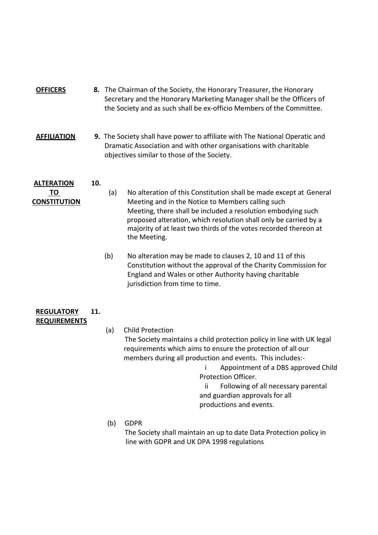| <b>OFFICERS</b> | 8. The Chairman of the Society, the Honorary Treasurer, the Honorary  |
|-----------------|-----------------------------------------------------------------------|
|                 | Secretary and the Honorary Marketing Manager shall be the Officers of |
|                 | the Society and as such shall be ex-officio Members of the Committee. |

**AFFILIATION 9.** The Society shall have power to affiliate with The National Operatic and Dramatic Association and with other organisations with charitable objectives similar to those of the Society.

# **ALTERATION 10.**

- 
- **TO** (a) No alteration of this Constitution shall be made except at General **CONSTITUTION** Meeting and in the Notice to Members calling such Meeting, there shall be included a resolution embodying such proposed alteration, which resolution shall only be carried by a majority of at least two thirds of the votes recorded thereon at the Meeting.
	- (b) No alteration may be made to clauses 2, 10 and 11 of this Constitution without the approval of the Charity Commission for England and Wales or other Authority having charitable jurisdiction from time to time.

# **REGULATORY 11. REQUIREMENTS**

- (a) Child Protection The Society maintains a child protection policy in line with UK legal requirements which aims to ensure the protection of all our members during all production and events. This includes:
	- i Appointment of a DBS approved Child Protection Officer.

 ii Following of all necessary parental and guardian approvals for all productions and events.

# (b) GDPR

 The Society shall maintain an up to date Data Protection policy in line with GDPR and UK DPA 1998 regulations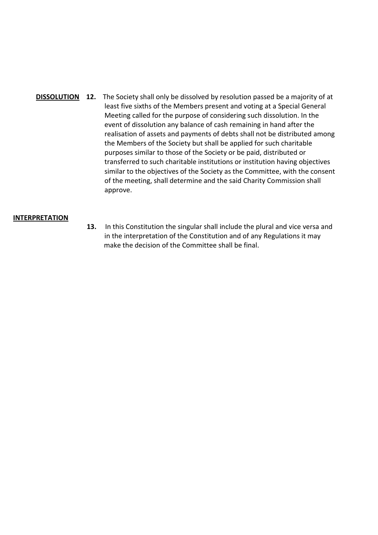**DISSOLUTION 12.** The Society shall only be dissolved by resolution passed be a majority of at least five sixths of the Members present and voting at a Special General Meeting called for the purpose of considering such dissolution. In the event of dissolution any balance of cash remaining in hand after the realisation of assets and payments of debts shall not be distributed among the Members of the Society but shall be applied for such charitable purposes similar to those of the Society or be paid, distributed or transferred to such charitable institutions or institution having objectives similar to the objectives of the Society as the Committee, with the consent of the meeting, shall determine and the said Charity Commission shall approve.

## **INTERPRETATION**

 **13.** In this Constitution the singular shall include the plural and vice versa and in the interpretation of the Constitution and of any Regulations it may make the decision of the Committee shall be final.